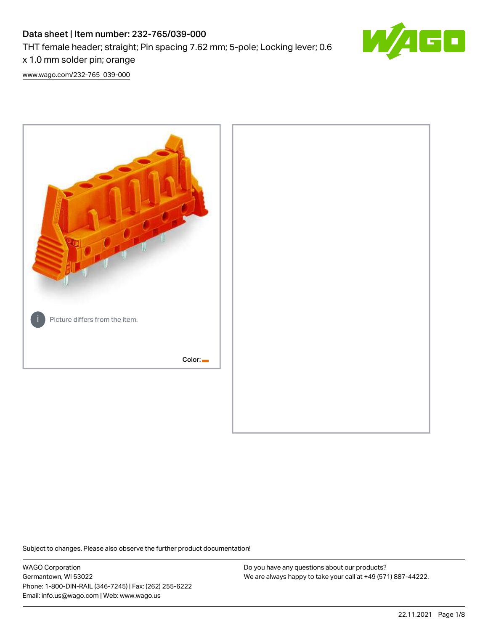# Data sheet | Item number: 232-765/039-000 THT female header; straight; Pin spacing 7.62 mm; 5-pole; Locking lever; 0.6 x 1.0 mm solder pin; orange



[www.wago.com/232-765\\_039-000](http://www.wago.com/232-765_039-000)



Subject to changes. Please also observe the further product documentation!

WAGO Corporation Germantown, WI 53022 Phone: 1-800-DIN-RAIL (346-7245) | Fax: (262) 255-6222 Email: info.us@wago.com | Web: www.wago.us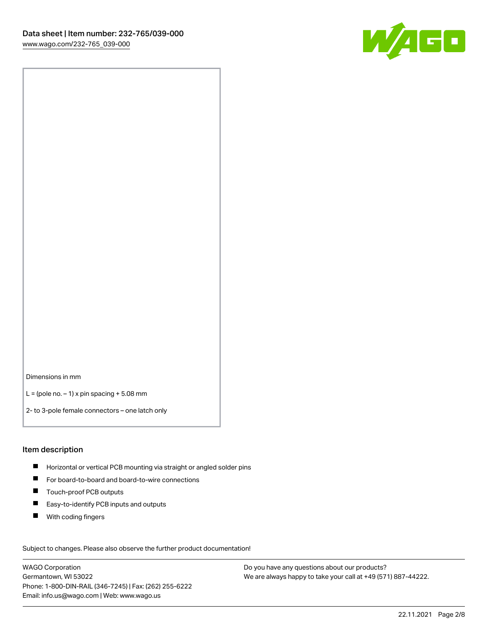

Dimensions in mm

 $L =$  (pole no.  $-1$ ) x pin spacing  $+5.08$  mm

2- to 3-pole female connectors – one latch only

### Item description

- **H** Horizontal or vertical PCB mounting via straight or angled solder pins
- For board-to-board and board-to-wire connections
- Touch-proof PCB outputs  $\blacksquare$
- $\blacksquare$ Easy-to-identify PCB inputs and outputs
- $\blacksquare$ With coding fingers

Subject to changes. Please also observe the further product documentation! Data

WAGO Corporation Germantown, WI 53022 Phone: 1-800-DIN-RAIL (346-7245) | Fax: (262) 255-6222 Email: info.us@wago.com | Web: www.wago.us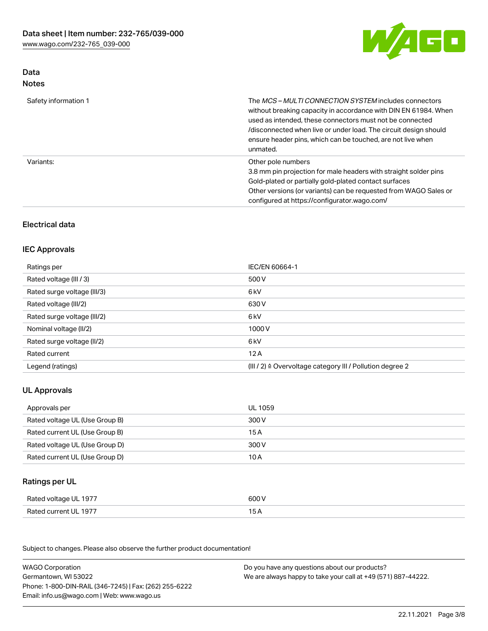

## Data Notes

| Safety information 1 | The <i>MCS – MULTI CONNECTION SYSTEM</i> includes connectors<br>without breaking capacity in accordance with DIN EN 61984. When<br>used as intended, these connectors must not be connected<br>/disconnected when live or under load. The circuit design should<br>ensure header pins, which can be touched, are not live when<br>unmated. |
|----------------------|--------------------------------------------------------------------------------------------------------------------------------------------------------------------------------------------------------------------------------------------------------------------------------------------------------------------------------------------|
| Variants:            | Other pole numbers<br>3.8 mm pin projection for male headers with straight solder pins<br>Gold-plated or partially gold-plated contact surfaces<br>Other versions (or variants) can be requested from WAGO Sales or<br>configured at https://configurator.wago.com/                                                                        |

## Electrical data

### IEC Approvals

| Ratings per                 | IEC/EN 60664-1                                                        |
|-----------------------------|-----------------------------------------------------------------------|
| Rated voltage (III / 3)     | 500 V                                                                 |
| Rated surge voltage (III/3) | 6 kV                                                                  |
| Rated voltage (III/2)       | 630 V                                                                 |
| Rated surge voltage (III/2) | 6 kV                                                                  |
| Nominal voltage (II/2)      | 1000 V                                                                |
| Rated surge voltage (II/2)  | 6 kV                                                                  |
| Rated current               | 12A                                                                   |
| Legend (ratings)            | $(III / 2)$ $\triangle$ Overvoltage category III / Pollution degree 2 |

## UL Approvals

| Approvals per                  | UL 1059 |
|--------------------------------|---------|
| Rated voltage UL (Use Group B) | 300 V   |
| Rated current UL (Use Group B) | 15 A    |
| Rated voltage UL (Use Group D) | 300 V   |
| Rated current UL (Use Group D) | 10 A    |

## Ratings per UL

| Rated voltage UL 1977 | 600 V |
|-----------------------|-------|
| Rated current UL 1977 |       |

Subject to changes. Please also observe the further product documentation!

| <b>WAGO Corporation</b>                                | Do you have any questions about our products?                 |
|--------------------------------------------------------|---------------------------------------------------------------|
| Germantown, WI 53022                                   | We are always happy to take your call at +49 (571) 887-44222. |
| Phone: 1-800-DIN-RAIL (346-7245)   Fax: (262) 255-6222 |                                                               |
| Email: info.us@wago.com   Web: www.wago.us             |                                                               |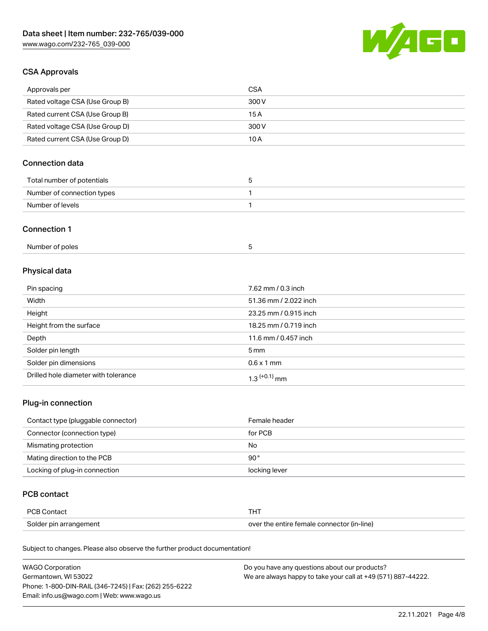

### CSA Approvals

| Approvals per                   | CSA   |
|---------------------------------|-------|
| Rated voltage CSA (Use Group B) | 300 V |
| Rated current CSA (Use Group B) | 15 A  |
| Rated voltage CSA (Use Group D) | 300 V |
| Rated current CSA (Use Group D) | 10 A  |

## Connection data

| Total number of potentials | ı |
|----------------------------|---|
| Number of connection types |   |
| Number of levels           |   |

### Connection 1

| Number of poles |  |
|-----------------|--|
|-----------------|--|

## Physical data

| Pin spacing                          | 7.62 mm / 0.3 inch    |
|--------------------------------------|-----------------------|
| Width                                | 51.36 mm / 2.022 inch |
| Height                               | 23.25 mm / 0.915 inch |
| Height from the surface              | 18.25 mm / 0.719 inch |
| Depth                                | 11.6 mm / 0.457 inch  |
| Solder pin length                    | $5 \,\mathrm{mm}$     |
| Solder pin dimensions                | $0.6 \times 1$ mm     |
| Drilled hole diameter with tolerance | $1.3$ $(+0.1)$ mm     |

## Plug-in connection

| Contact type (pluggable connector) | Female header |
|------------------------------------|---------------|
| Connector (connection type)        | for PCB       |
| Mismating protection               | No            |
| Mating direction to the PCB        | $90^{\circ}$  |
| Locking of plug-in connection      | locking lever |

### PCB contact

| <b>PCB Contact</b>     |                                            |
|------------------------|--------------------------------------------|
| Solder pin arrangement | over the entire female connector (in-line) |

Subject to changes. Please also observe the further product documentation!

| <b>WAGO Corporation</b>                                | Do you have any questions about our products?                 |
|--------------------------------------------------------|---------------------------------------------------------------|
| Germantown, WI 53022                                   | We are always happy to take your call at +49 (571) 887-44222. |
| Phone: 1-800-DIN-RAIL (346-7245)   Fax: (262) 255-6222 |                                                               |
| Email: info.us@wago.com   Web: www.wago.us             |                                                               |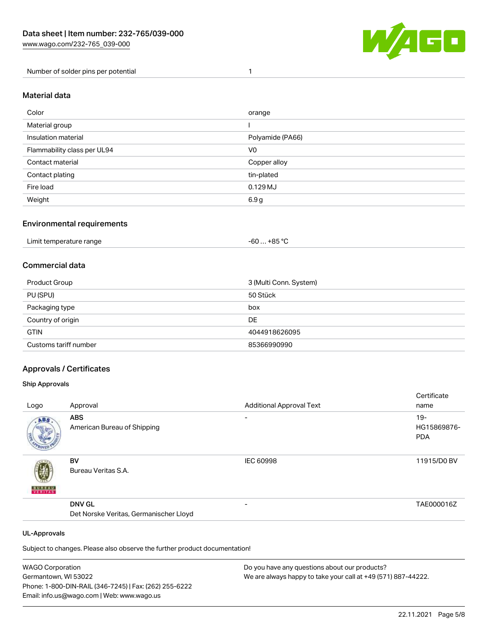

Number of solder pins per potential 1

#### Material data

| Color                       | orange           |
|-----------------------------|------------------|
| Material group              |                  |
| Insulation material         | Polyamide (PA66) |
| Flammability class per UL94 | V <sub>0</sub>   |
| Contact material            | Copper alloy     |
| Contact plating             | tin-plated       |
| Fire load                   | $0.129$ MJ       |
| Weight                      | 6.9g             |

### Environmental requirements

| Limit temperature range<br>. | . +85 °C<br>-60 |  |
|------------------------------|-----------------|--|
|------------------------------|-----------------|--|

### Commercial data

| Product Group         | 3 (Multi Conn. System) |
|-----------------------|------------------------|
| PU (SPU)              | 50 Stück               |
| Packaging type        | box                    |
| Country of origin     | DE                     |
| <b>GTIN</b>           | 4044918626095          |
| Customs tariff number | 85366990990            |

### Approvals / Certificates

#### Ship Approvals

|               |                                        |                                 | Certificate               |
|---------------|----------------------------------------|---------------------------------|---------------------------|
| Logo          | Approval                               | <b>Additional Approval Text</b> | name                      |
| ABS.          | <b>ABS</b>                             | $\overline{\phantom{0}}$        | $19 -$                    |
|               | American Bureau of Shipping            |                                 | HG15869876-<br><b>PDA</b> |
| <b>BUNEAU</b> | BV<br>Bureau Veritas S.A.              | <b>IEC 60998</b>                | 11915/D0 BV               |
|               | <b>DNV GL</b>                          | $\overline{\phantom{0}}$        | TAE000016Z                |
|               | Det Norske Veritas, Germanischer Lloyd |                                 |                           |
|               |                                        |                                 |                           |

#### UL-Approvals

Subject to changes. Please also observe the further product documentation!

| <b>WAGO Corporation</b>                                | Do you have any questions about our products?                 |
|--------------------------------------------------------|---------------------------------------------------------------|
| Germantown, WI 53022                                   | We are always happy to take your call at +49 (571) 887-44222. |
| Phone: 1-800-DIN-RAIL (346-7245)   Fax: (262) 255-6222 |                                                               |
| Email: info.us@wago.com   Web: www.wago.us             |                                                               |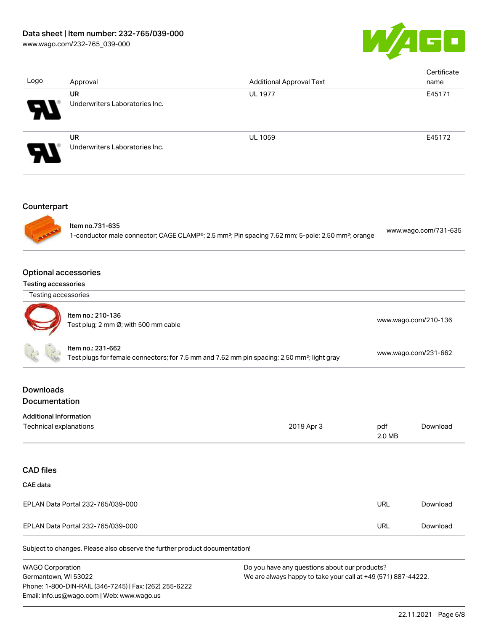

| Logo                                                      | Approval                                                                   | <b>Additional Approval Text</b>                                                                                           |               | Certificate<br>name  |  |
|-----------------------------------------------------------|----------------------------------------------------------------------------|---------------------------------------------------------------------------------------------------------------------------|---------------|----------------------|--|
|                                                           | <b>UR</b><br>Underwriters Laboratories Inc.                                | <b>UL 1977</b>                                                                                                            |               | E45171               |  |
|                                                           | <b>UR</b><br>Underwriters Laboratories Inc.                                | UL 1059                                                                                                                   |               | E45172               |  |
| Counterpart                                               |                                                                            |                                                                                                                           |               |                      |  |
|                                                           | Item no.731-635                                                            | 1-conductor male connector; CAGE CLAMP®; 2.5 mm <sup>2</sup> ; Pin spacing 7.62 mm; 5-pole; 2,50 mm <sup>2</sup> ; orange |               | www.wago.com/731-635 |  |
| <b>Optional accessories</b><br><b>Testing accessories</b> |                                                                            |                                                                                                                           |               |                      |  |
| Testing accessories                                       |                                                                            |                                                                                                                           |               |                      |  |
|                                                           | Item no.: 210-136<br>Test plug; 2 mm Ø; with 500 mm cable                  |                                                                                                                           |               | www.wago.com/210-136 |  |
|                                                           | Item no.: 231-662                                                          | Test plugs for female connectors; for 7.5 mm and 7.62 mm pin spacing; 2,50 mm <sup>2</sup> ; light gray                   |               | www.wago.com/231-662 |  |
| <b>Downloads</b><br>Documentation                         |                                                                            |                                                                                                                           |               |                      |  |
| <b>Additional Information</b><br>Technical explanations   |                                                                            | 2019 Apr 3                                                                                                                | pdf<br>2.0 MB | Download             |  |
| <b>CAD files</b>                                          |                                                                            |                                                                                                                           |               |                      |  |
| <b>CAE</b> data                                           |                                                                            |                                                                                                                           |               |                      |  |
|                                                           | EPLAN Data Portal 232-765/039-000                                          |                                                                                                                           | <b>URL</b>    | Download             |  |
|                                                           | EPLAN Data Portal 232-765/039-000                                          |                                                                                                                           | <b>URL</b>    | Download             |  |
|                                                           | Subject to changes. Please also observe the further product documentation! |                                                                                                                           |               |                      |  |

WAGO Corporation Germantown, WI 53022 Phone: 1-800-DIN-RAIL (346-7245) | Fax: (262) 255-6222 Email: info.us@wago.com | Web: www.wago.us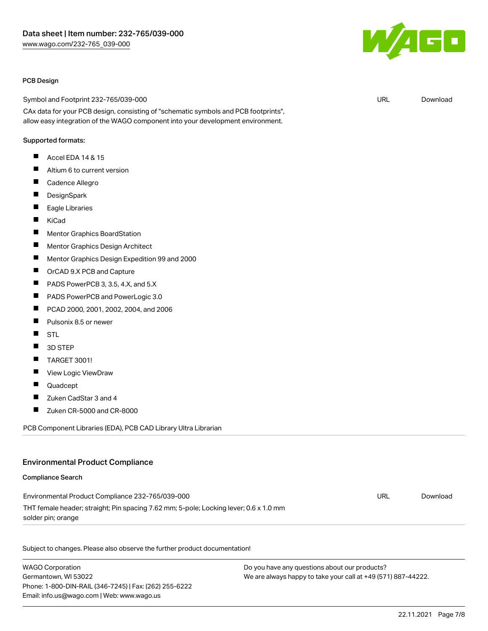

#### PCB Design

Symbol and Footprint 232-765/039-000

CAx data for your PCB design, consisting of "schematic symbols and PCB footprints", allow easy integration of the WAGO component into your development environment.

#### Supported formats:

- $\blacksquare$ Accel EDA 14 & 15
- $\blacksquare$ Altium 6 to current version
- $\blacksquare$ Cadence Allegro
- П **DesignSpark**
- $\blacksquare$ Eagle Libraries
- $\blacksquare$ KiCad
- $\blacksquare$ Mentor Graphics BoardStation
- П Mentor Graphics Design Architect
- П Mentor Graphics Design Expedition 99 and 2000
- П OrCAD 9.X PCB and Capture
- $\blacksquare$ PADS PowerPCB 3, 3.5, 4.X, and 5.X
- $\blacksquare$ PADS PowerPCB and PowerLogic 3.0
- П PCAD 2000, 2001, 2002, 2004, and 2006
- П Pulsonix 8.5 or newer
- П **STL**
- П 3D STEP
- П TARGET 3001!
- П View Logic ViewDraw
- $\blacksquare$ Quadcept
- П Zuken CadStar 3 and 4
- П Zuken CR-5000 and CR-8000

PCB Component Libraries (EDA), PCB CAD Library Ultra Librarian

#### Environmental Product Compliance

#### Compliance Search

| Environmental Product Compliance 232-765/039-000                                      | URL | Download |
|---------------------------------------------------------------------------------------|-----|----------|
| THT female header; straight; Pin spacing 7.62 mm; 5-pole; Locking lever; 0.6 x 1.0 mm |     |          |
| solder pin; orange                                                                    |     |          |

Subject to changes. Please also observe the further product documentation!

WAGO Corporation Germantown, WI 53022 Phone: 1-800-DIN-RAIL (346-7245) | Fax: (262) 255-6222 Email: info.us@wago.com | Web: www.wago.us